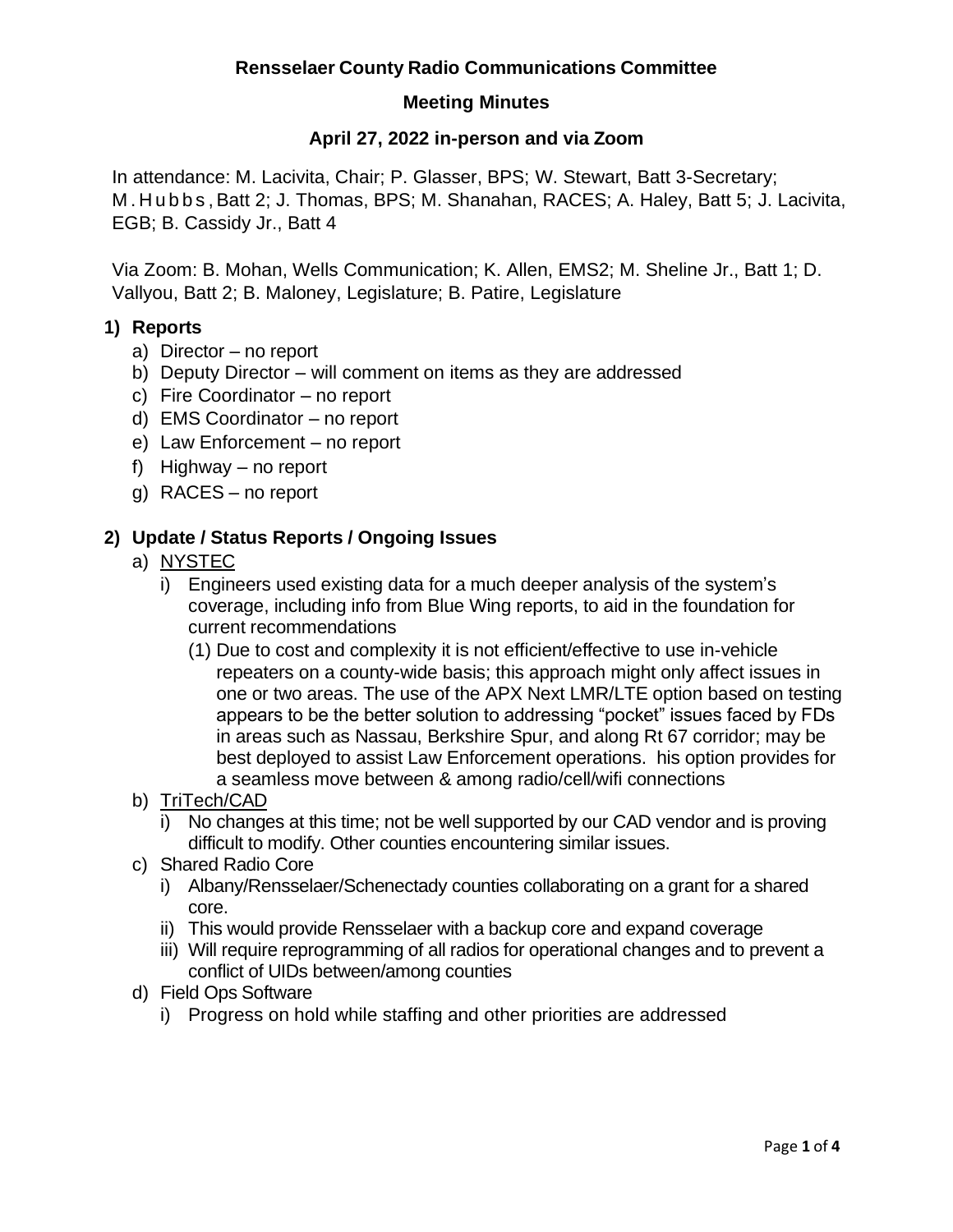#### **Meeting Minutes**

#### **April 27, 2022 in-person and via Zoom**

In attendance: M. Lacivita, Chair; P. Glasser, BPS; W. Stewart, Batt 3-Secretary; M . H u b b s , Batt 2; J. Thomas, BPS; M. Shanahan, RACES; A. Haley, Batt 5; J. Lacivita, EGB; B. Cassidy Jr., Batt 4

Via Zoom: B. Mohan, Wells Communication; K. Allen, EMS2; M. Sheline Jr., Batt 1; D. Vallyou, Batt 2; B. Maloney, Legislature; B. Patire, Legislature

#### **1) Reports**

- a) Director no report
- b) Deputy Director will comment on items as they are addressed
- c) Fire Coordinator no report
- d) EMS Coordinator no report
- e) Law Enforcement no report
- f) Highway no report
- g) RACES no report

#### **2) Update / Status Reports / Ongoing Issues**

### a) NYSTEC

- i) Engineers used existing data for a much deeper analysis of the system's coverage, including info from Blue Wing reports, to aid in the foundation for current recommendations
	- (1) Due to cost and complexity it is not efficient/effective to use in-vehicle repeaters on a county-wide basis; this approach might only affect issues in one or two areas. The use of the APX Next LMR/LTE option based on testing appears to be the better solution to addressing "pocket" issues faced by FDs in areas such as Nassau, Berkshire Spur, and along Rt 67 corridor; may be best deployed to assist Law Enforcement operations. his option provides for a seamless move between & among radio/cell/wifi connections
- b) TriTech/CAD
	- i) No changes at this time; not be well supported by our CAD vendor and is proving difficult to modify. Other counties encountering similar issues.
- c) Shared Radio Core
	- i) Albany/Rensselaer/Schenectady counties collaborating on a grant for a shared core.
	- ii) This would provide Rensselaer with a backup core and expand coverage
	- iii) Will require reprogramming of all radios for operational changes and to prevent a conflict of UIDs between/among counties
- d) Field Ops Software
	- i) Progress on hold while staffing and other priorities are addressed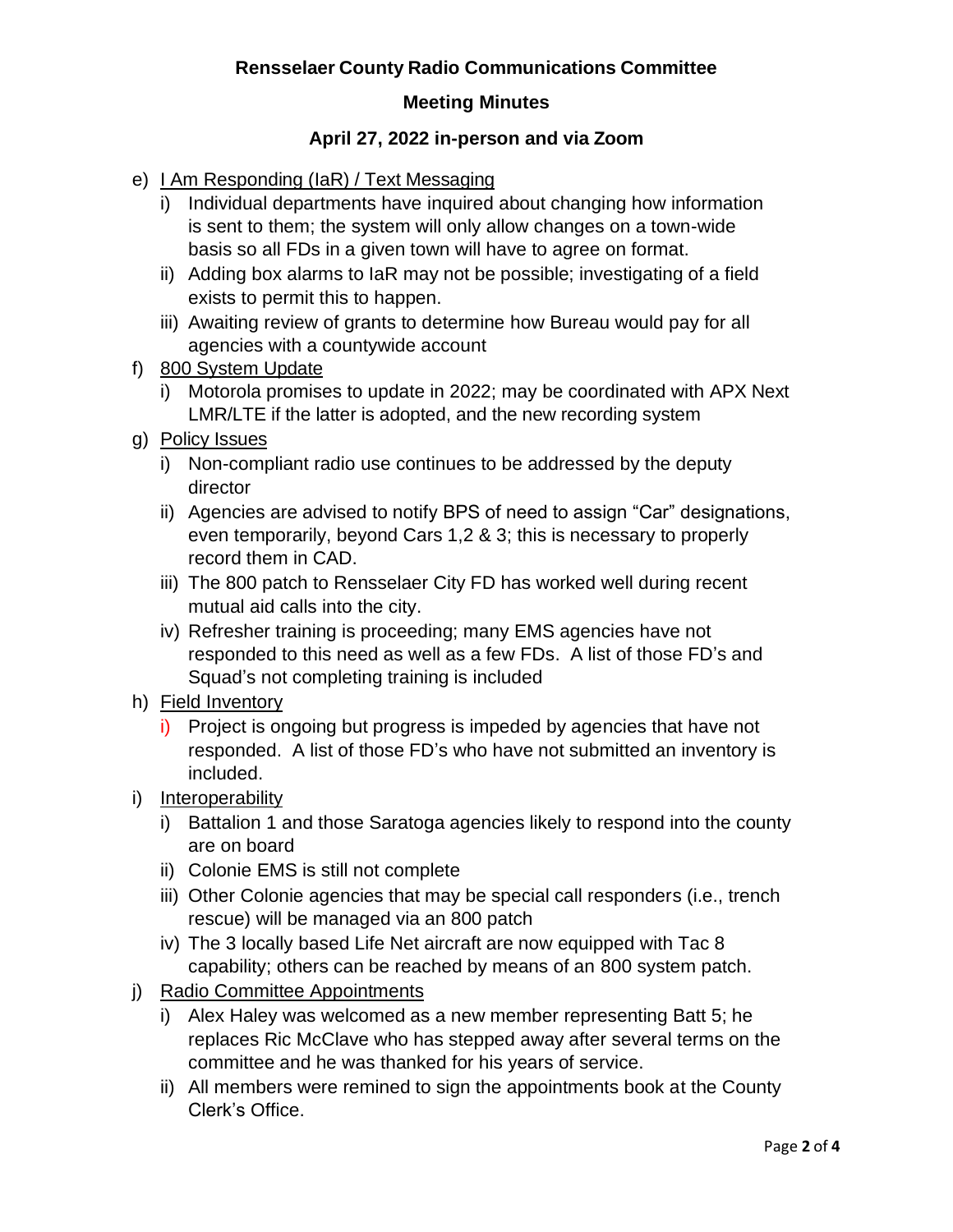### **Meeting Minutes**

### **April 27, 2022 in-person and via Zoom**

- e) LAm Responding (IaR) / Text Messaging
	- i) Individual departments have inquired about changing how information is sent to them; the system will only allow changes on a town-wide basis so all FDs in a given town will have to agree on format.
	- ii) Adding box alarms to IaR may not be possible; investigating of a field exists to permit this to happen.
	- iii) Awaiting review of grants to determine how Bureau would pay for all agencies with a countywide account
- f) 800 System Update
	- i) Motorola promises to update in 2022; may be coordinated with APX Next LMR/LTE if the latter is adopted, and the new recording system
- g) Policy Issues
	- i) Non-compliant radio use continues to be addressed by the deputy director
	- ii) Agencies are advised to notify BPS of need to assign "Car" designations, even temporarily, beyond Cars 1,2 & 3; this is necessary to properly record them in CAD.
	- iii) The 800 patch to Rensselaer City FD has worked well during recent mutual aid calls into the city.
	- iv) Refresher training is proceeding; many EMS agencies have not responded to this need as well as a few FDs. A list of those FD's and Squad's not completing training is included
- h) Field Inventory
	- i) Project is ongoing but progress is impeded by agencies that have not responded. A list of those FD's who have not submitted an inventory is included.
- i) Interoperability
	- i) Battalion 1 and those Saratoga agencies likely to respond into the county are on board
	- ii) Colonie EMS is still not complete
	- iii) Other Colonie agencies that may be special call responders (i.e., trench rescue) will be managed via an 800 patch
	- iv) The 3 locally based Life Net aircraft are now equipped with Tac 8 capability; others can be reached by means of an 800 system patch.
- j) Radio Committee Appointments
	- i) Alex Haley was welcomed as a new member representing Batt 5; he replaces Ric McClave who has stepped away after several terms on the committee and he was thanked for his years of service.
	- ii) All members were remined to sign the appointments book at the County Clerk's Office.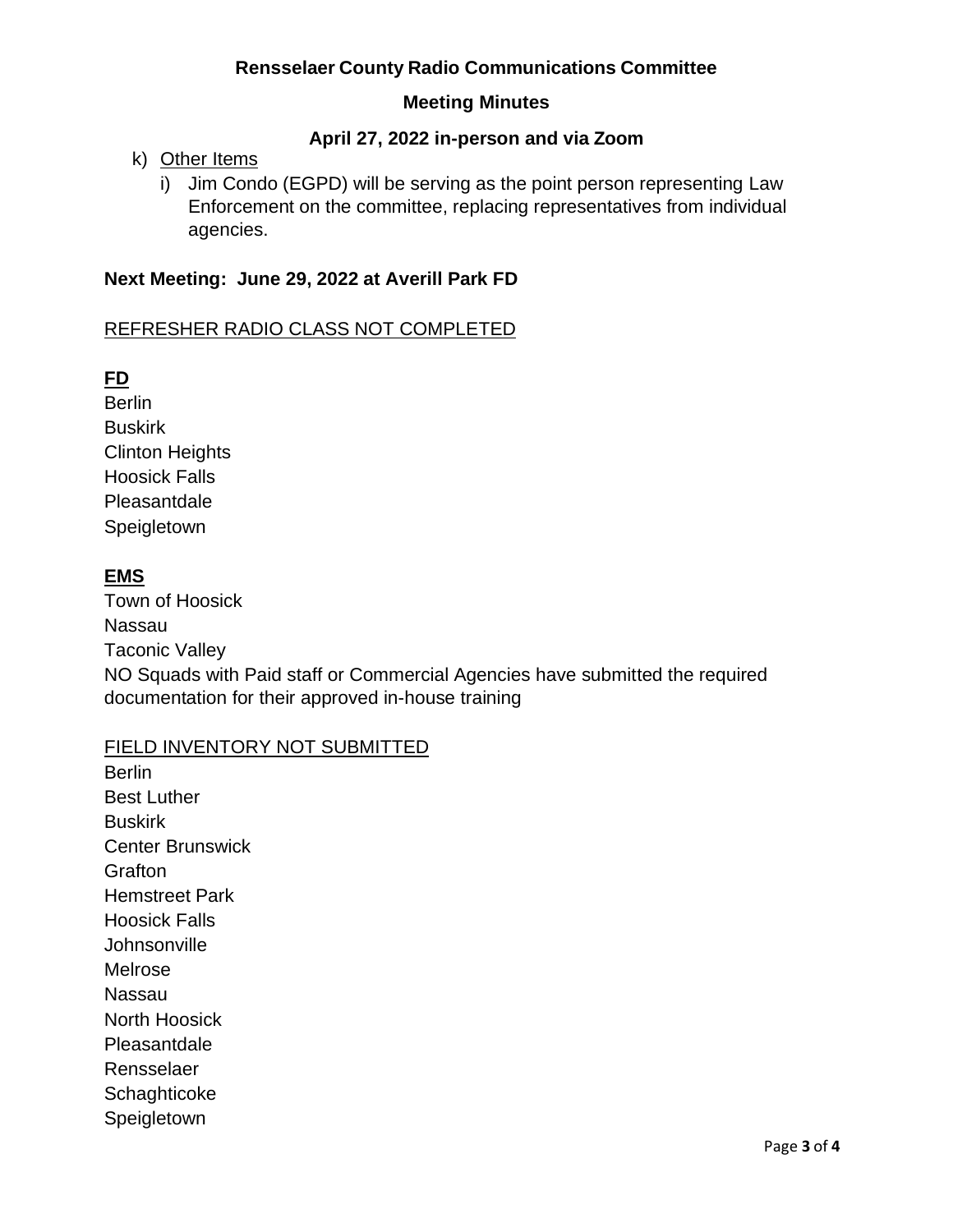### **Meeting Minutes**

### **April 27, 2022 in-person and via Zoom**

# k) Other Items

i) Jim Condo (EGPD) will be serving as the point person representing Law Enforcement on the committee, replacing representatives from individual agencies.

### **Next Meeting: June 29, 2022 at Averill Park FD**

#### REFRESHER RADIO CLASS NOT COMPLETED

# **FD**

**Berlin Buskirk** Clinton Heights Hoosick Falls Pleasantdale Speigletown

# **EMS**

Town of Hoosick Nassau Taconic Valley NO Squads with Paid staff or Commercial Agencies have submitted the required documentation for their approved in-house training

### FIELD INVENTORY NOT SUBMITTED

**Berlin** Best Luther **Buskirk** Center Brunswick **Grafton** Hemstreet Park Hoosick Falls **Johnsonville** Melrose Nassau North Hoosick Pleasantdale Rensselaer **Schaghticoke** Speigletown